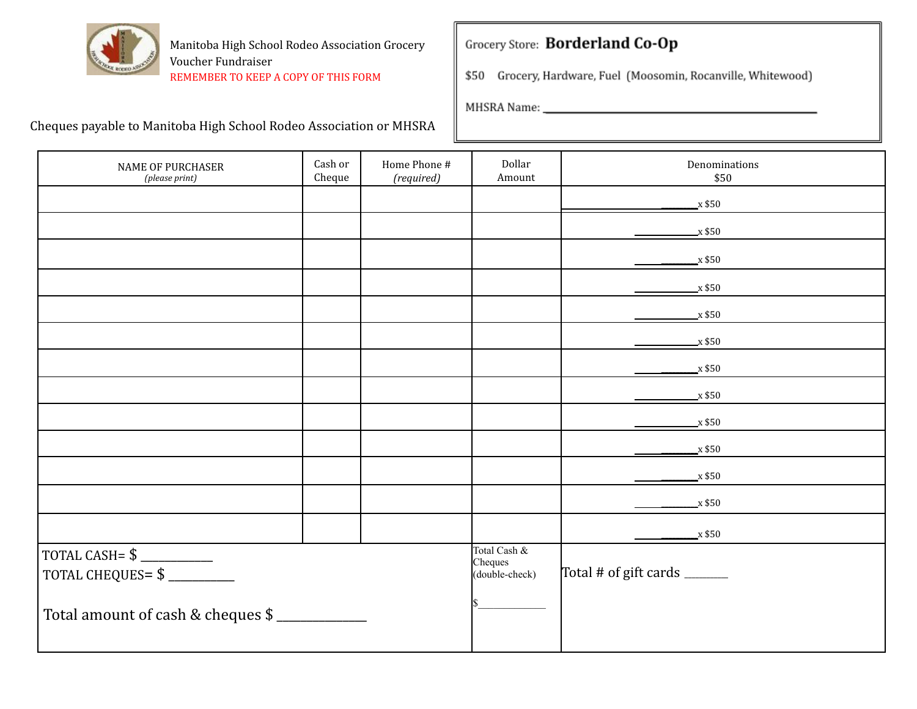

### Grocery Store: Borderland Co-Op

\$50 Grocery, Hardware, Fuel (Moosomin, Rocanville, Whitewood)

| <b>NAME OF PURCHASER</b><br>(please print) | Cash or<br>Cheque | Home Phone #<br>(required)                | Dollar<br>Amount             | Denominations<br>\$50 |
|--------------------------------------------|-------------------|-------------------------------------------|------------------------------|-----------------------|
|                                            |                   |                                           |                              | $\mathbf{x}$ \$50     |
|                                            |                   |                                           |                              | $\mathbf{x}$ \$50     |
|                                            |                   |                                           |                              | $\mathbf{x}$ \$50     |
|                                            |                   |                                           |                              | $\mathbf{x}$ \$50     |
|                                            |                   |                                           |                              | $\mathbf{x}$ \$50     |
|                                            |                   |                                           |                              | $\mathbf{x}$ \$50     |
|                                            |                   |                                           |                              | $\mathbf{x}$ \$50     |
|                                            |                   |                                           |                              | $\mathbf{x}$ \$50     |
|                                            |                   |                                           |                              | $\mathbf{x}$ \$50     |
|                                            |                   |                                           |                              | $\mathbf{x}$ \$50     |
|                                            |                   |                                           |                              | $\frac{\ }{2}$ x \$50 |
|                                            |                   |                                           |                              | $\_x $50$             |
|                                            |                   |                                           |                              | $\mathbf{x}$ \$50     |
| TOTAL CHEQUES= \$                          |                   | Total Cash &<br>Cheques<br>(double-check) | Total # of gift cards ______ |                       |
| Total amount of cash & cheques \$          |                   |                                           |                              |                       |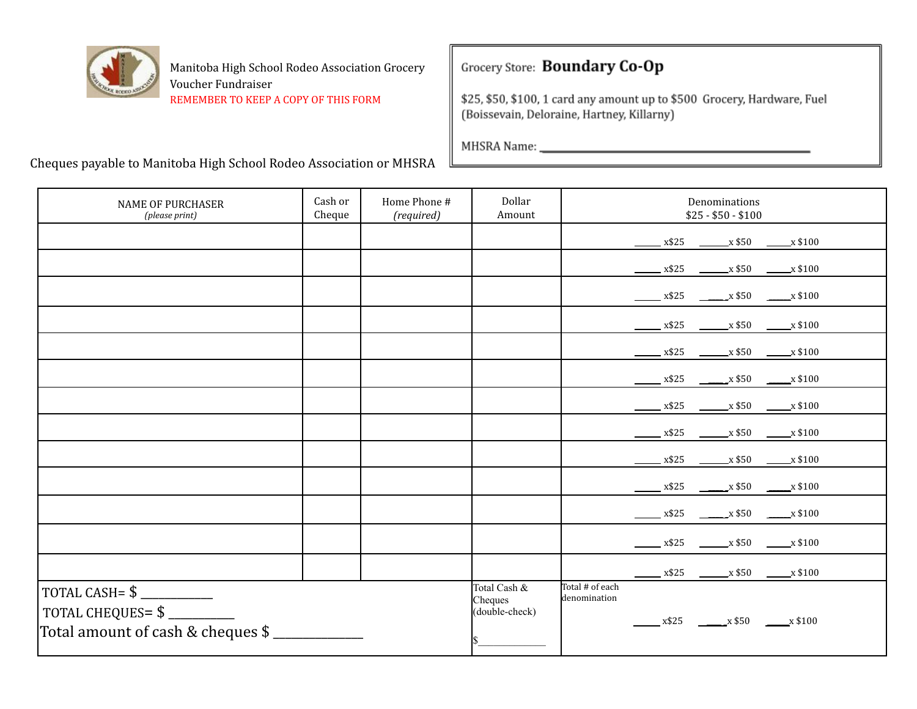

### Grocery Store: Boundary Co-Op

\$25, \$50, \$100, 1 card any amount up to \$500 Grocery, Hardware, Fuel (Boissevain, Deloraine, Hartney, Killarny)

| <b>NAME OF PURCHASER</b><br>(please print)                                                      | Cash or<br>Cheque | Home Phone #<br>(required) | Dollar<br>Amount                          | Denominations<br>$$25 - $50 - $100$                                                                                       |
|-------------------------------------------------------------------------------------------------|-------------------|----------------------------|-------------------------------------------|---------------------------------------------------------------------------------------------------------------------------|
|                                                                                                 |                   |                            |                                           | $\frac{\text{X$325}}{\text{X$325}}$ $\frac{\text{X$50}}{\text{X$50}}$ $\frac{\text{X$100}}{\text{X$}}$                    |
|                                                                                                 |                   |                            |                                           | $\frac{x $25}{}$ $\frac{x $50}{}$ $\frac{x $100}{}$                                                                       |
|                                                                                                 |                   |                            |                                           | $\frac{\text{18.25}}{\text{18.3}} \frac{\text{18.3}}{\text{18.3}} \times $50 \frac{\text{18.3}}{\text{18.3}} \times $100$ |
|                                                                                                 |                   |                            |                                           | $\frac{\text{X$25}}{\text{X$325}}$ $\frac{\text{X$50}}{\text{X$50}}$ $\frac{\text{X$100}}{\text{X$}}$                     |
|                                                                                                 |                   |                            |                                           | $x$ \$25 $\overline{\phantom{0}}$ x \$50 $\overline{\phantom{0}}$ x \$100                                                 |
|                                                                                                 |                   |                            |                                           | $\frac{\text{X$25}}{\text{X$325}}$ $\frac{\text{X$50}}{\text{X$50}}$ $\frac{\text{X$100}}{\text{X$}}$                     |
|                                                                                                 |                   |                            |                                           | $\frac{\text{X$25}}{\text{X$325}}$ $\frac{\text{X$50}}{\text{X$50}}$ $\frac{\text{X$100}}{\text{X$}}$                     |
|                                                                                                 |                   |                            |                                           | $\frac{\text{X$25}}{\text{X$325}}$ $\frac{\text{X$50}}{\text{X$50}}$ $\frac{\text{X$100}}{\text{X$}}$                     |
|                                                                                                 |                   |                            |                                           | $x$ \$25 $x$ \$50 $x$ \$100                                                                                               |
|                                                                                                 |                   |                            |                                           | $\frac{\text{18}}{2} \times \$25$ $\frac{\text{18}}{2} \times \$50$ $\frac{\text{18}}{2} \times \$100$                    |
|                                                                                                 |                   |                            |                                           | $x$ \$25 $x$ \$50 $x$ \$100                                                                                               |
|                                                                                                 |                   |                            |                                           | $\frac{\text{X$35}}{\text{X$30}}$ $\frac{\text{X$50}}{\text{X$50}}$ $\frac{\text{X$100}}{\text{X$}}$                      |
|                                                                                                 |                   |                            |                                           | $x$ \$25 $x$ \$50 $x$ \$100                                                                                               |
| TOTAL CASH= $\frac{1}{2}$<br>TOTAL CHEQUES=\$<br>Total amount of cash & cheques \$ ____________ |                   |                            | Total Cash &<br>Cheques<br>(double-check) | Total # of each<br>denomination<br>$x$ \$25 $\frac{1}{2}$ x \$50 $\frac{1}{2}$ x \$100                                    |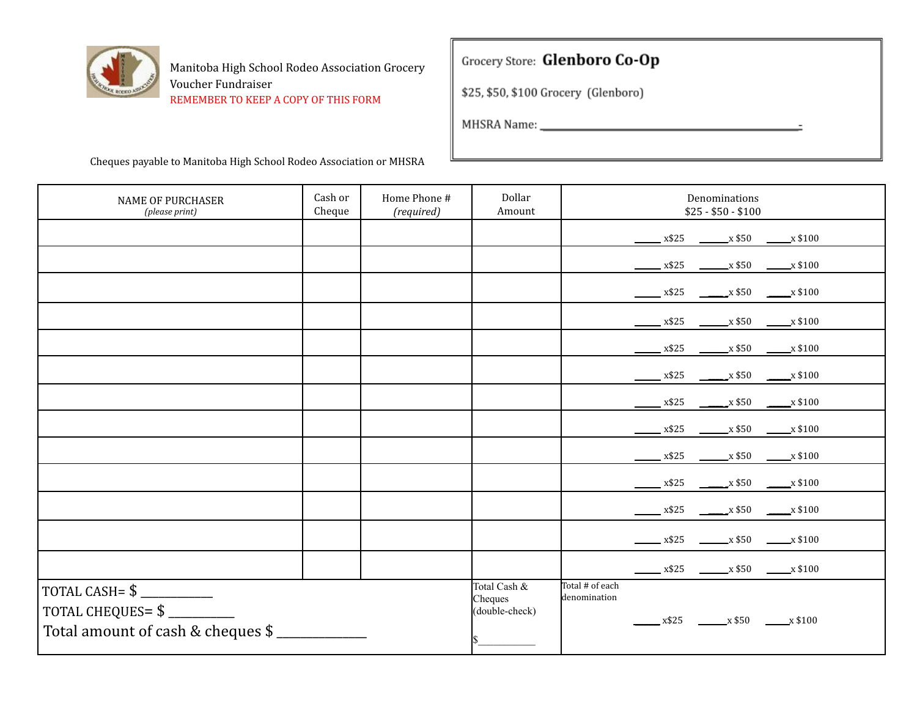

### Grocery Store: Glenboro Co-Op

\$25, \$50, \$100 Grocery (Glenboro)

| <b>NAME OF PURCHASER</b><br>(please print)             | Cash or<br>Cheque | Home Phone #<br>(required) | Dollar<br>Amount                          | Denominations<br>$$25 - $50 - $100$                                                                                                                   |
|--------------------------------------------------------|-------------------|----------------------------|-------------------------------------------|-------------------------------------------------------------------------------------------------------------------------------------------------------|
|                                                        |                   |                            |                                           | $\frac{\text{X$25}}{\text{X$325}}$ $\frac{\text{X$50}}{\text{X$50}}$ $\frac{\text{X$100}}{\text{X$}}$                                                 |
|                                                        |                   |                            |                                           | $x$ \$25 $x$ \$50 $x$ \$100                                                                                                                           |
|                                                        |                   |                            |                                           | $\frac{\text{183 }}{25}$ $\frac{\text{183 }}{25}$ $\frac{\text{183 }}{25}$ $\frac{\text{183 }}{25}$ $\frac{\text{183 }}{25}$ $\frac{\text{183 }}{25}$ |
|                                                        |                   |                            |                                           | $x$ \$25 $x$ \$50 $x$ \$100                                                                                                                           |
|                                                        |                   |                            |                                           | $x$ \$25 $x$ \$50 $x$ \$100                                                                                                                           |
|                                                        |                   |                            |                                           | $x$ \$25 $x$ \$50 $x$ \$100                                                                                                                           |
|                                                        |                   |                            |                                           | $\frac{\text{X$25}}{\text{X$325}}$ $\frac{\text{X$50}}{\text{X$50}}$ $\frac{\text{X$100}}{\text{X$}}$                                                 |
|                                                        |                   |                            |                                           | $\frac{\text{X$25}}{\text{X$325}}$ $\frac{\text{X$50}}{\text{X$50}}$ $\frac{\text{X$100}}{\text{X$}}$                                                 |
|                                                        |                   |                            |                                           | $x$ \$25 $x$ \$50 $x$ \$100                                                                                                                           |
|                                                        |                   |                            |                                           | $\frac{\text{18}}{2} \times \$25$ $\frac{\text{18}}{2} \times \$50$ $\frac{\text{18}}{2} \times \$100$                                                |
|                                                        |                   |                            |                                           | $\frac{\text{18.33}}{100}$ x\$25 $\frac{\text{18.33}}{100}$ x \$100                                                                                   |
|                                                        |                   |                            |                                           | $x$ \$25 $x$ \$50 $x$ \$100                                                                                                                           |
|                                                        |                   |                            |                                           | $x$ \$25 $x$ \$50 $x$ \$100                                                                                                                           |
| TOTAL CHEQUES= \$<br>Total amount of cash & cheques \$ |                   |                            | Total Cash &<br>Cheques<br>(double-check) | Total # of each<br>denomination<br>$x$ \$25 $\frac{1}{2}$ x \$50 $\frac{1}{2}$ x \$100                                                                |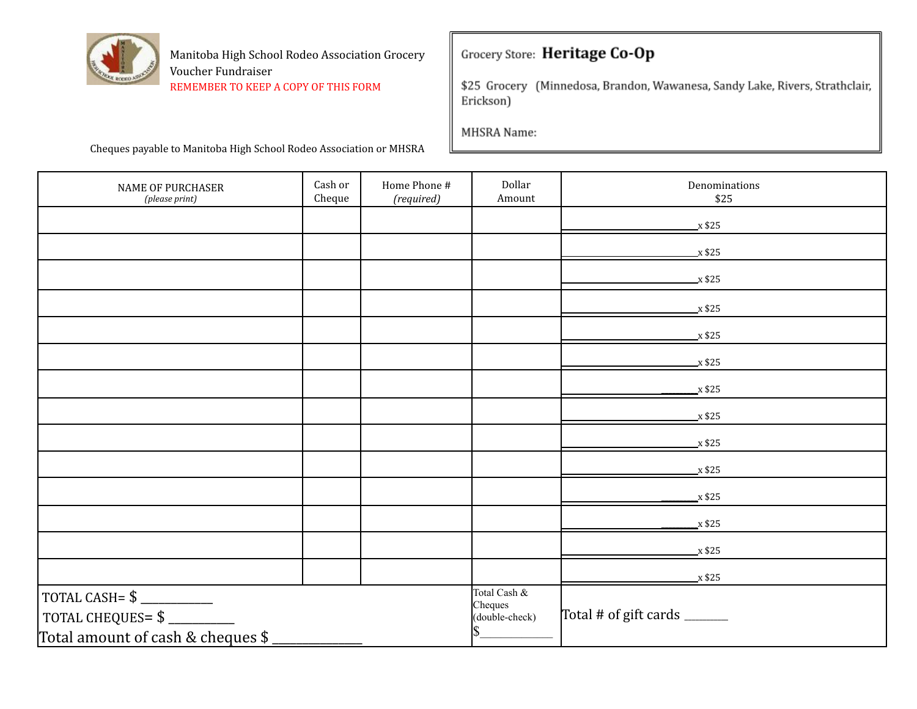

### Grocery Store: Heritage Co-Op

\$25 Grocery (Minnedosa, Brandon, Wawanesa, Sandy Lake, Rivers, Strathclair, Erickson)

MHSRA Name:

| NAME OF PURCHASER<br>(please print)                                                | Cash or<br>Cheque | Home Phone #<br>(required) | Dollar<br>Amount                          | Denominations<br>\$25       |
|------------------------------------------------------------------------------------|-------------------|----------------------------|-------------------------------------------|-----------------------------|
|                                                                                    |                   |                            |                                           | $\mathbf{x}$ \$25           |
|                                                                                    |                   |                            |                                           | $\overline{x}$ \$25         |
|                                                                                    |                   |                            |                                           | $\mathbf{x}$ \$25           |
|                                                                                    |                   |                            |                                           | $\mathbf{x}$ \$25           |
|                                                                                    |                   |                            |                                           | $x$ \$25                    |
|                                                                                    |                   |                            |                                           | $x$ \$25                    |
|                                                                                    |                   |                            |                                           | $x$ \$25                    |
|                                                                                    |                   |                            |                                           | $x$ \$25                    |
|                                                                                    |                   |                            |                                           | $x$ \$25                    |
|                                                                                    |                   |                            |                                           | $x$ \$25                    |
|                                                                                    |                   |                            |                                           | x \$25                      |
|                                                                                    |                   |                            |                                           | $\mathbf{x}$ \$25           |
|                                                                                    |                   |                            |                                           | $x$ \$25                    |
|                                                                                    |                   |                            |                                           | x \$25                      |
| TOTAL CASH= $\frac{1}{2}$<br>TOTAL CHEQUES=\$<br>Total amount of cash & cheques \$ |                   |                            | Total Cash &<br>Cheques<br>(double-check) | Total # of gift cards _____ |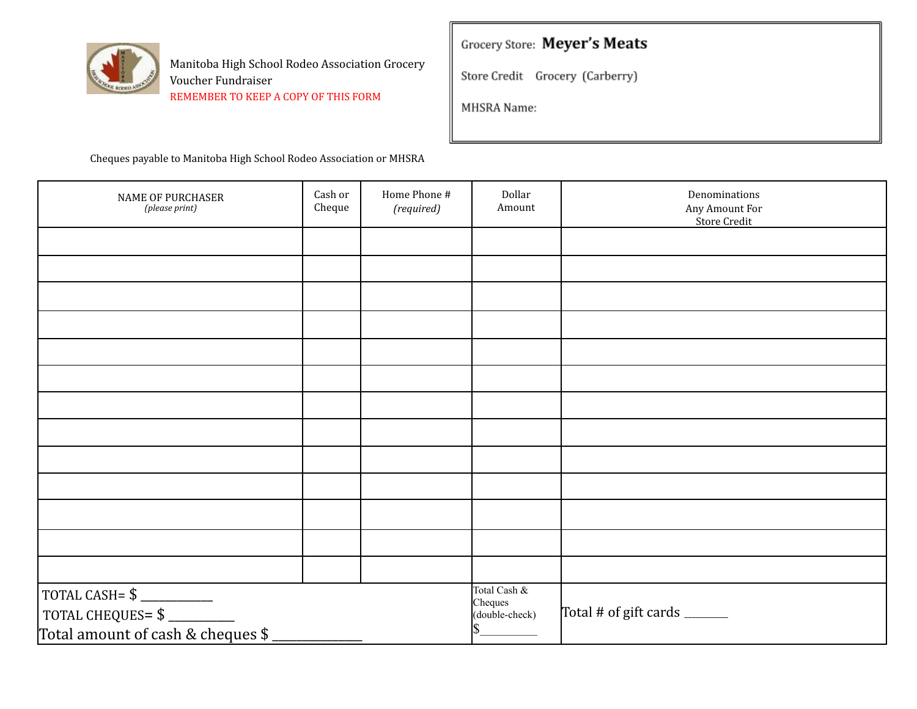

# Grocery Store: Meyer's Meats

Store Credit Grocery (Carberry)

MHSRA Name:

| NAME OF PURCHASER<br>(please print)                                                                                                                                        | Cash or<br>Cheque | Home Phone #<br>(required) | Dollar<br>Amount                          | Denominations<br>Any Amount For<br><b>Store Credit</b> |
|----------------------------------------------------------------------------------------------------------------------------------------------------------------------------|-------------------|----------------------------|-------------------------------------------|--------------------------------------------------------|
|                                                                                                                                                                            |                   |                            |                                           |                                                        |
|                                                                                                                                                                            |                   |                            |                                           |                                                        |
|                                                                                                                                                                            |                   |                            |                                           |                                                        |
|                                                                                                                                                                            |                   |                            |                                           |                                                        |
|                                                                                                                                                                            |                   |                            |                                           |                                                        |
|                                                                                                                                                                            |                   |                            |                                           |                                                        |
|                                                                                                                                                                            |                   |                            |                                           |                                                        |
|                                                                                                                                                                            |                   |                            |                                           |                                                        |
|                                                                                                                                                                            |                   |                            |                                           |                                                        |
|                                                                                                                                                                            |                   |                            |                                           |                                                        |
|                                                                                                                                                                            |                   |                            |                                           |                                                        |
|                                                                                                                                                                            |                   |                            |                                           |                                                        |
|                                                                                                                                                                            |                   |                            |                                           |                                                        |
| $\begin{array}{r} \text{TOTAL CASH= $$\underline{\hspace{1.5cm}}$} \\\text{TOTAL CHEQUES= $$\underline{\hspace{1.5cm}}$} \end{array}$<br>Total amount of cash & cheques \$ |                   |                            | Total Cash &<br>Cheques<br>(double-check) | Total # of gift cards ______                           |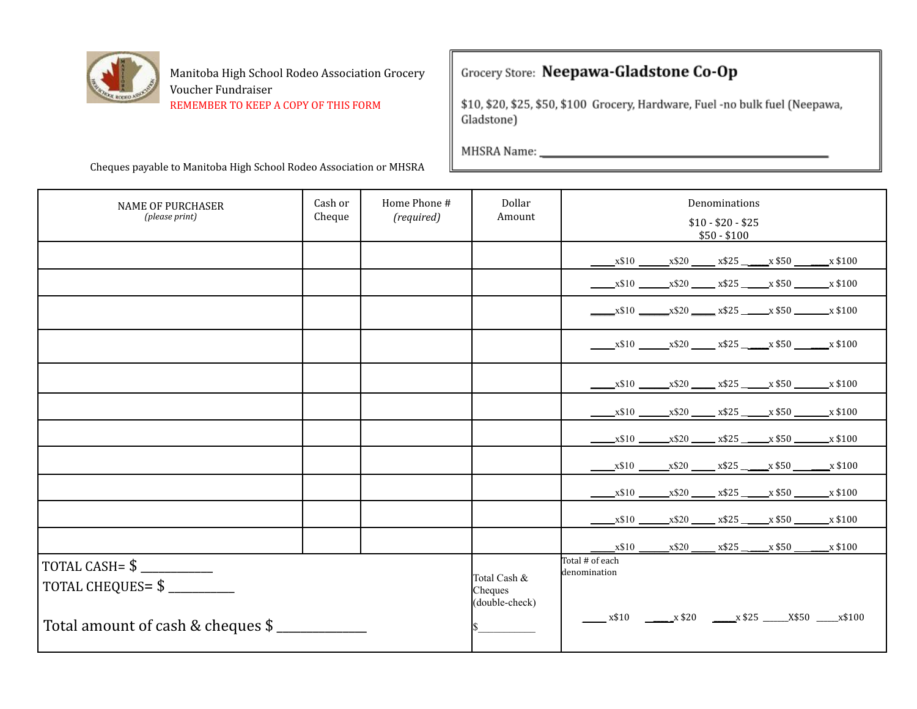

### Grocery Store: Neepawa-Gladstone Co-Op

\$10, \$20, \$25, \$50, \$100 Grocery, Hardware, Fuel -no bulk fuel (Neepawa, Gladstone)

the control of the control of the control of

MHSRA Name:

| <b>NAME OF PURCHASER</b><br>(please print) | Cash or<br>Cheque | Home Phone #<br>(required) | Dollar<br>Amount                          | Denominations<br>$$10 - $20 - $25$<br>$$50 - $100$ |
|--------------------------------------------|-------------------|----------------------------|-------------------------------------------|----------------------------------------------------|
|                                            |                   |                            |                                           | $x$10$ $x$20$ $x$25$ $x$50$ $x$100$                |
|                                            |                   |                            |                                           | $x$10$ $x$20$ $x$25$ $x$50$ $x$100$                |
|                                            |                   |                            |                                           | $x$10$ $x$20$ $x$25$ $x$50$ $x$100$                |
|                                            |                   |                            |                                           | $x$10$ $x$20$ $x$25$ $x$50$ $x$100$                |
|                                            |                   |                            |                                           | $x$10$ x\$20 x\$25 x\$25 x \$50 x \$100            |
|                                            |                   |                            |                                           | $x$10$ $x$20$ $x$25$ $x$50$ $x$100$                |
|                                            |                   |                            |                                           | $x$10$ $x$20$ $x$25$ $x$50$ $x$100$                |
|                                            |                   |                            |                                           | $x$10$ $x$20$ $x$25$ $x$50$ $x$100$                |
|                                            |                   |                            |                                           | $x$10$ $x$20$ $x$25$ $x$50$ $x$100$                |
|                                            |                   |                            |                                           | $x$10$ $x$20$ $x$25$ $x$50$ $x$100$                |
|                                            |                   |                            |                                           | $x$ \$10 $x$ \$20 $x$ \$25 $x$ \$50 $x$ \$100      |
| TOTAL CHEQUES= \$                          |                   |                            | Total Cash &<br>Cheques<br>(double-check) | Total # of each<br>denomination                    |
| Total amount of cash & cheques \$          |                   |                            |                                           | $x$ \$10 $x$ \$20 $x$ \$25 $x$ \$50 $x$ \$100      |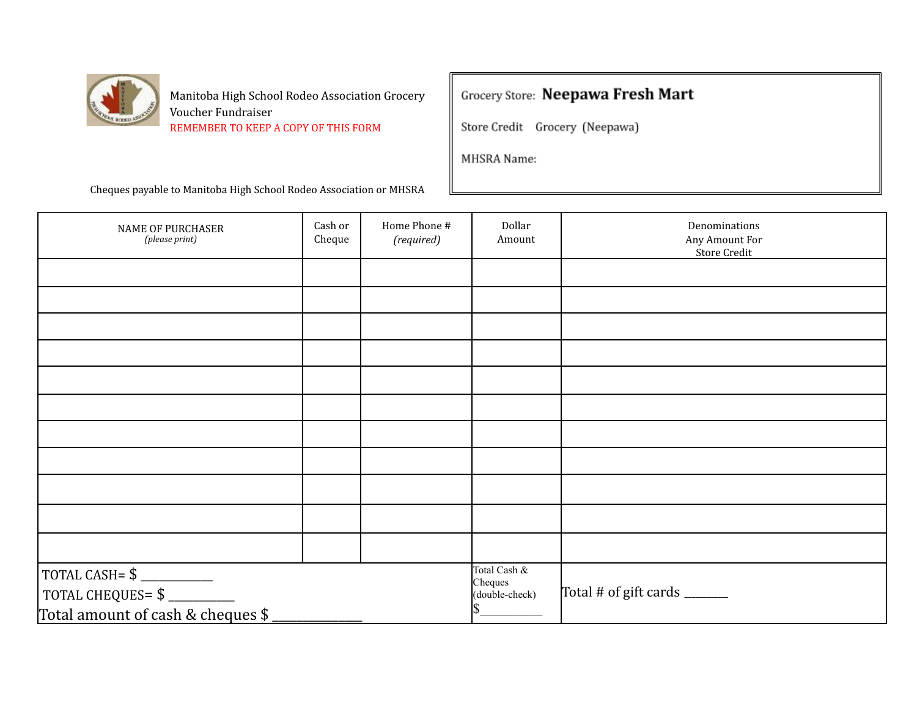

### Grocery Store: Neepawa Fresh Mart

Store Credit Grocery (Neepawa)

MHSRA Name:

| NAME OF PURCHASER<br>(please print)                                                            | Cash or<br>Cheque | Home Phone #<br>(required) | Dollar<br>Amount                          | Denominations<br>Any Amount For<br><b>Store Credit</b> |
|------------------------------------------------------------------------------------------------|-------------------|----------------------------|-------------------------------------------|--------------------------------------------------------|
|                                                                                                |                   |                            |                                           |                                                        |
|                                                                                                |                   |                            |                                           |                                                        |
|                                                                                                |                   |                            |                                           |                                                        |
|                                                                                                |                   |                            |                                           |                                                        |
|                                                                                                |                   |                            |                                           |                                                        |
|                                                                                                |                   |                            |                                           |                                                        |
|                                                                                                |                   |                            |                                           |                                                        |
|                                                                                                |                   |                            |                                           |                                                        |
|                                                                                                |                   |                            |                                           |                                                        |
|                                                                                                |                   |                            |                                           |                                                        |
|                                                                                                |                   |                            |                                           |                                                        |
| TOTAL CASH= $\frac{1}{2}$<br>TOTAL CHEQUES= $\frac{1}{2}$<br>Total amount of cash & cheques \$ |                   |                            | Total Cash &<br>Cheques<br>(double-check) | Total # of gift cards ______                           |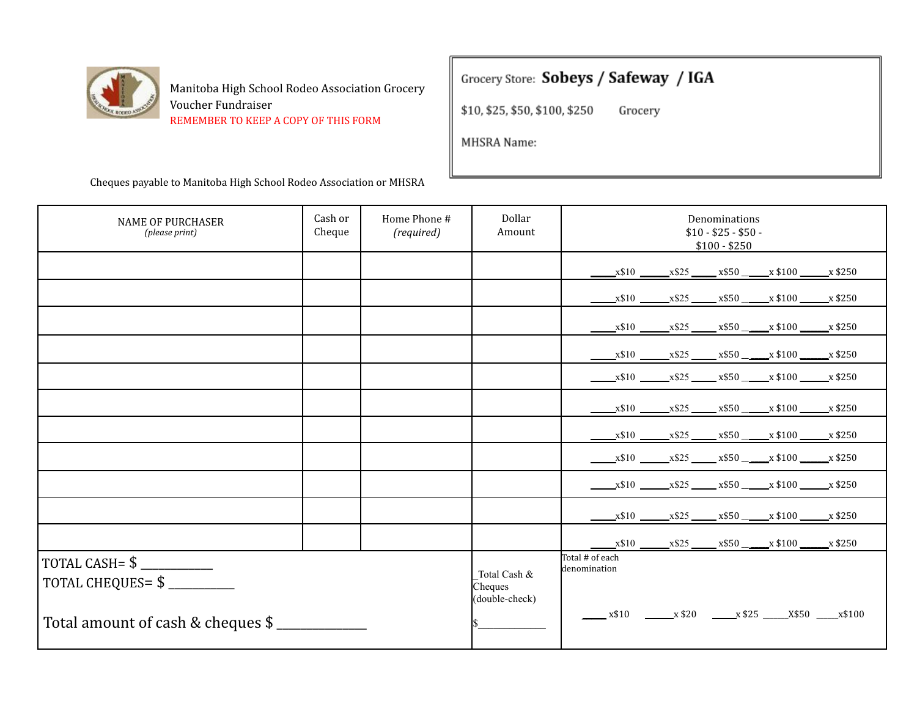

### Grocery Store: Sobeys / Safeway / IGA

\$10, \$25, \$50, \$100, \$250 Grocery

MHSRA Name:

| <b>NAME OF PURCHASER</b><br>(please print) | Cash or<br>Cheque | Home Phone #<br>(required) | Dollar<br>Amount                          | Denominations<br>$$10 - $25 - $50 -$<br>$$100 - $250$ |
|--------------------------------------------|-------------------|----------------------------|-------------------------------------------|-------------------------------------------------------|
|                                            |                   |                            |                                           | $x$10$ $x$25$ $x$50$ $x$100$ $x$250$                  |
|                                            |                   |                            |                                           | $x$10$ $x$25$ $x$50$ $x$100$ $x$250$                  |
|                                            |                   |                            |                                           | $x$10$ $x$25$ $x$50$ $x$100$ $x$250$                  |
|                                            |                   |                            |                                           | $x$10$ $x$25$ $x$50$ $x$100$ $x$250$                  |
|                                            |                   |                            |                                           | $x$10$ $x$25$ $x$50$ $x$100$ $x$250$                  |
|                                            |                   |                            |                                           | $x$10$ $x$25$ $x$50$ $x$100$ $x$250$                  |
|                                            |                   |                            |                                           | $x$10$ $x$25$ $x$50$ $x$100$ $x$250$                  |
|                                            |                   |                            |                                           | $x$10$ $x$25$ $x$50$ $x$100$ $x$250$                  |
|                                            |                   |                            |                                           | $x$10$ $x$25$ $x$50$ $x$100$ $x$250$                  |
|                                            |                   |                            |                                           | $x$10$ $x$25$ $x$50$ $x$100$ $x$250$                  |
|                                            |                   |                            |                                           | $x$10$ $x$25$ $x$50$ $x$100$ $x$250$                  |
| TOTAL CHEQUES= $\frac{1}{2}$               |                   |                            | Total Cash &<br>Cheques<br>(double-check) | Total # of each<br>denomination                       |
| Total amount of cash & cheques \$          |                   |                            |                                           | $x$ \$10 $x$ \$20 $x$ \$25 $x$ \$50 $x$ \$100         |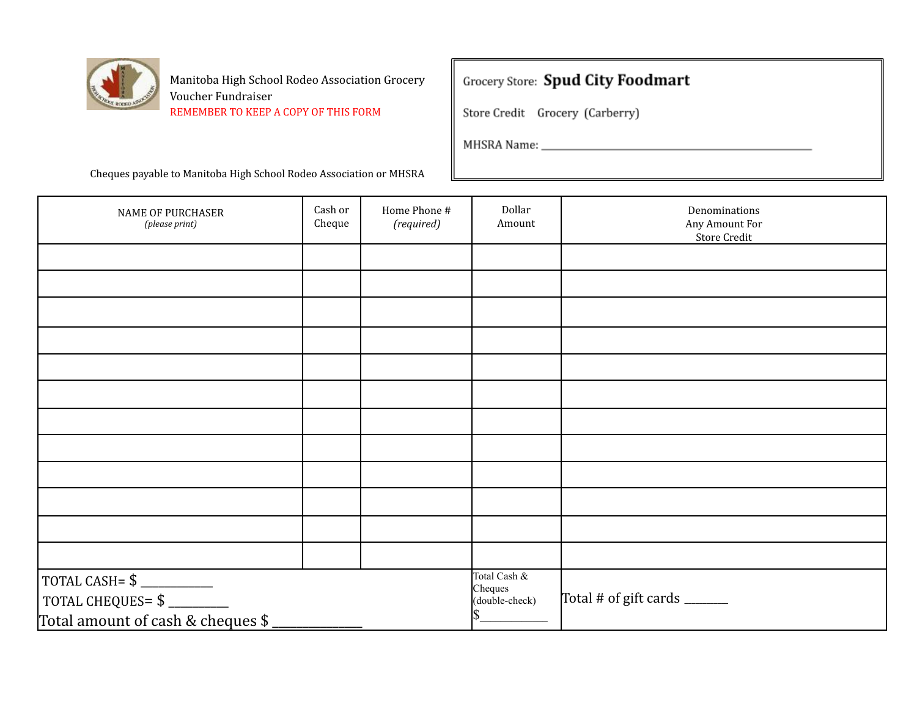

# **Grocery Store: Spud City Foodmart**

Store Credit Grocery (Carberry)

| NAME OF PURCHASER<br>(please print)                                                                                                                                        | Cash or<br>Cheque | Home Phone #<br>(required) | Dollar<br>Amount                          | Denominations<br>Any Amount For<br>Store Credit |
|----------------------------------------------------------------------------------------------------------------------------------------------------------------------------|-------------------|----------------------------|-------------------------------------------|-------------------------------------------------|
|                                                                                                                                                                            |                   |                            |                                           |                                                 |
|                                                                                                                                                                            |                   |                            |                                           |                                                 |
|                                                                                                                                                                            |                   |                            |                                           |                                                 |
|                                                                                                                                                                            |                   |                            |                                           |                                                 |
|                                                                                                                                                                            |                   |                            |                                           |                                                 |
|                                                                                                                                                                            |                   |                            |                                           |                                                 |
|                                                                                                                                                                            |                   |                            |                                           |                                                 |
|                                                                                                                                                                            |                   |                            |                                           |                                                 |
|                                                                                                                                                                            |                   |                            |                                           |                                                 |
|                                                                                                                                                                            |                   |                            |                                           |                                                 |
|                                                                                                                                                                            |                   |                            |                                           |                                                 |
|                                                                                                                                                                            |                   |                            |                                           |                                                 |
| $\begin{array}{r} \text{TOTAL CASH= $$\underline{\hspace{1.5cm}}$} \\\text{TOTAL CHEQUES= $$\underline{\hspace{1.5cm}}$} \end{array}$<br>Total amount of cash & cheques \$ |                   |                            | Total Cash &<br>Cheques<br>(double-check) | Total # of gift cards ______                    |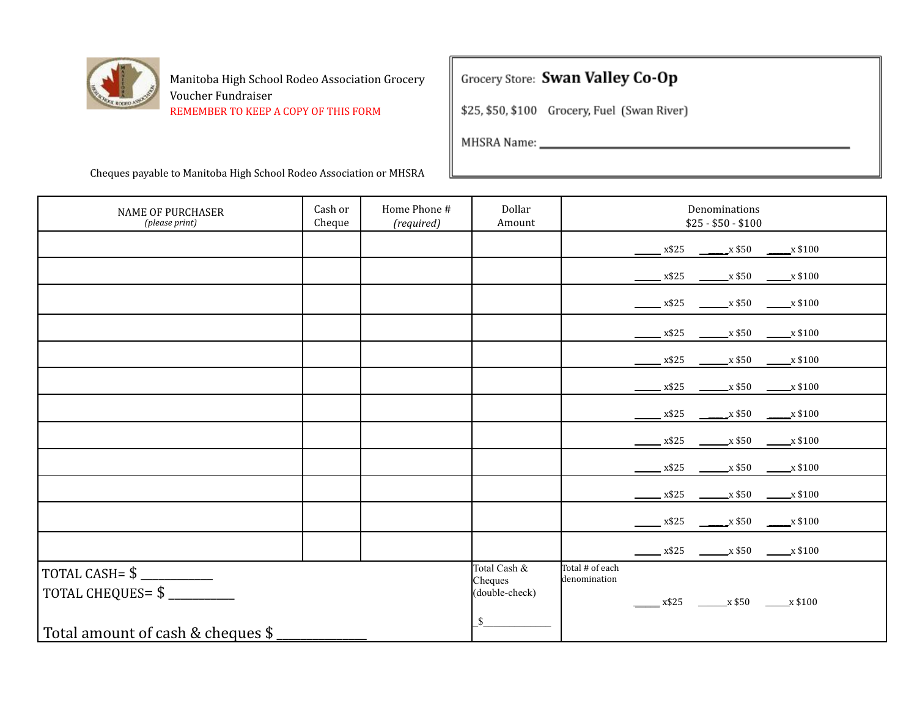

# Grocery Store: Swan Valley Co-Op

\$25, \$50, \$100 Grocery, Fuel (Swan River)

the control of the control of the control of

MHSRA Name: \_

| <b>NAME OF PURCHASER</b><br>(please print)                                                     | Cash or<br>Cheque | Home Phone #<br>(required) | Dollar<br>Amount                                | Denominations<br>$$25 - $50 - $100$                                                                    |
|------------------------------------------------------------------------------------------------|-------------------|----------------------------|-------------------------------------------------|--------------------------------------------------------------------------------------------------------|
|                                                                                                |                   |                            |                                                 | $\frac{x $25}{}$ $\frac{x $50}{}$ $\frac{x $100}{}$                                                    |
|                                                                                                |                   |                            |                                                 | $\frac{\text{18}}{2} \times \$25$ $\frac{\text{18}}{2} \times \$50$ $\frac{\text{18}}{2} \times \$100$ |
|                                                                                                |                   |                            |                                                 | $\frac{1}{2}$ x\$25 $\frac{1}{2}$ x\$50 $\frac{1}{2}$ x \$100                                          |
|                                                                                                |                   |                            |                                                 | $\frac{\text{X$25}}{\text{X$26}}$ $\frac{\text{X$50}}{\text{X$50}}$ $\frac{\text{X$100}}{\text{X$}}$   |
|                                                                                                |                   |                            |                                                 | $\frac{\text{X$25}}{\text{X$25}}$ $\frac{\text{X$50}}{\text{X$50}}$ $\frac{\text{X$100}}{\text{X$}}$   |
|                                                                                                |                   |                            |                                                 | $x$ \$25 $x$ \$50 $x$ \$100                                                                            |
|                                                                                                |                   |                            |                                                 | $\frac{\text{X$325}}{\text{X$325}}$ $\frac{\text{X$50}}{\text{X$3100}}$                                |
|                                                                                                |                   |                            |                                                 | $\frac{\text{18}}{2} \times \$25$ $\frac{\text{18}}{2} \times \$50$ $\frac{\text{18}}{2} \times \$100$ |
|                                                                                                |                   |                            |                                                 |                                                                                                        |
|                                                                                                |                   |                            |                                                 | $x$ \$25 $x$ \$50 $x$ \$100                                                                            |
|                                                                                                |                   |                            |                                                 | $\frac{\text{18}}{2} \times \$25$ $\frac{\text{18}}{2} \times \$50$ $\frac{\text{18}}{2} \times \$100$ |
|                                                                                                |                   |                            |                                                 | $x$ \$25 $x$ \$50 $x$ \$100                                                                            |
| TOTAL CASH= $\frac{1}{2}$<br>TOTAL CHEQUES= \$<br>Total amount of cash & cheques $\frac{1}{2}$ |                   |                            | Total Cash &<br>Cheques<br>(double-check)<br>\$ | Total # of each<br>denomination<br>$x$ \$25 $x$ \$50 $x$ \$100                                         |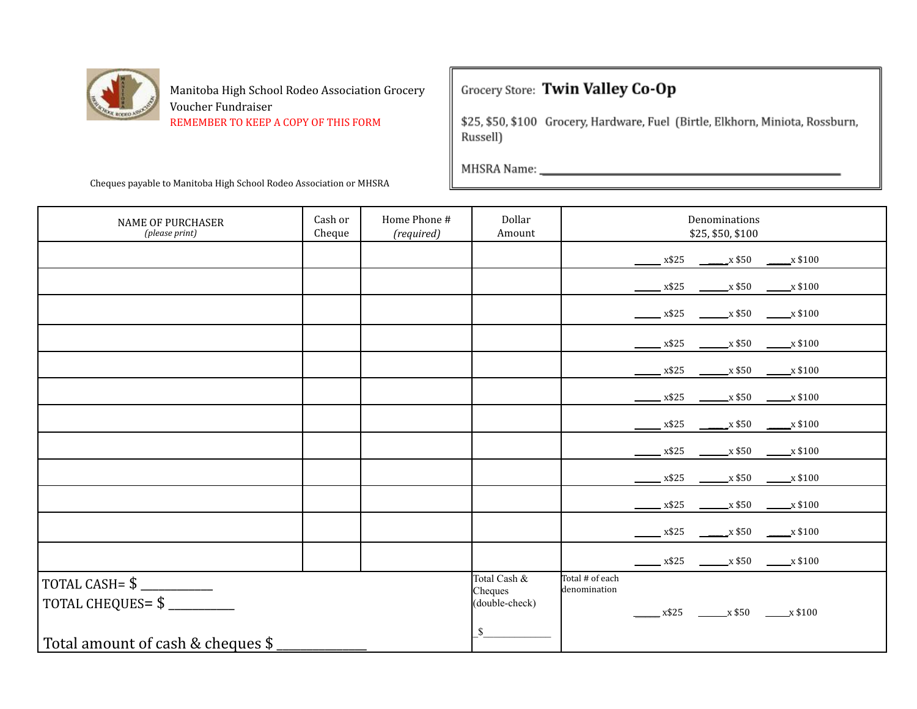

### Grocery Store: Twin Valley Co-Op

\$25, \$50, \$100 Grocery, Hardware, Fuel (Birtle, Elkhorn, Miniota, Rossburn, Russell)

| <b>NAME OF PURCHASER</b><br>(please print)                                         | Cash or<br>Cheque | Home Phone #<br>(required) | Dollar<br>Amount                                          |                                 | Denominations<br>\$25, \$50, \$100                                                                     |
|------------------------------------------------------------------------------------|-------------------|----------------------------|-----------------------------------------------------------|---------------------------------|--------------------------------------------------------------------------------------------------------|
|                                                                                    |                   |                            |                                                           |                                 | $\frac{\text{X$325}}{\text{X$325}}$ $\frac{\text{X$50}}{\text{X$50}}$ $\frac{\text{X$100}}{\text{X$}}$ |
|                                                                                    |                   |                            |                                                           |                                 | $\frac{\text{18}}{2} \times \$25$ $\frac{\text{18}}{2} \times \$50$ $\frac{\text{18}}{2} \times \$100$ |
|                                                                                    |                   |                            |                                                           |                                 | $x$ \$25 $x$ \$50 $x$ \$100                                                                            |
|                                                                                    |                   |                            |                                                           |                                 | $\frac{\text{X$25}}{\text{X$325}}$ x\$25 x\$50 x\$100                                                  |
|                                                                                    |                   |                            |                                                           |                                 | $\frac{\text{X$25}}{\text{X$325}}$ $\frac{\text{X$50}}{\text{X$50}}$ $\frac{\text{X$100}}{\text{X$}}$  |
|                                                                                    |                   |                            |                                                           |                                 | $x$ \$25 $x$ \$50 $x$ \$100                                                                            |
|                                                                                    |                   |                            |                                                           |                                 | $\frac{\text{X$25}}{\text{X$325}}$ $\frac{\text{X$50}}{\text{X$50}}$ $\frac{\text{X$100}}{\text{X$}}$  |
|                                                                                    |                   |                            |                                                           |                                 | $\frac{\text{X$25}}{\text{X$325}}$ $\frac{\text{X$50}}{\text{X$50}}$ $\frac{\text{X$100}}{\text{X$}}$  |
|                                                                                    |                   |                            |                                                           |                                 | $\frac{\text{X$325}}{\text{X$325}}$ $\frac{\text{X$50}}{\text{X$3100}}$                                |
|                                                                                    |                   |                            |                                                           |                                 | $x$ \$25 $x$ \$50 $x$ \$100                                                                            |
|                                                                                    |                   |                            |                                                           |                                 |                                                                                                        |
|                                                                                    |                   |                            |                                                           |                                 | $\frac{\text{18}}{2} \times \$25$ $\frac{\text{18}}{2} \times \$50$ $\frac{\text{18}}{2} \times \$100$ |
| TOTAL CASH= $\frac{1}{2}$<br>TOTAL CHEQUES=\$<br>Total amount of cash & cheques \$ |                   |                            | Total Cash &<br>Cheques<br>(double-check)<br>$\mathbb{S}$ | Total # of each<br>denomination | $x$ \$25 $x$ \$50 $x$ \$100                                                                            |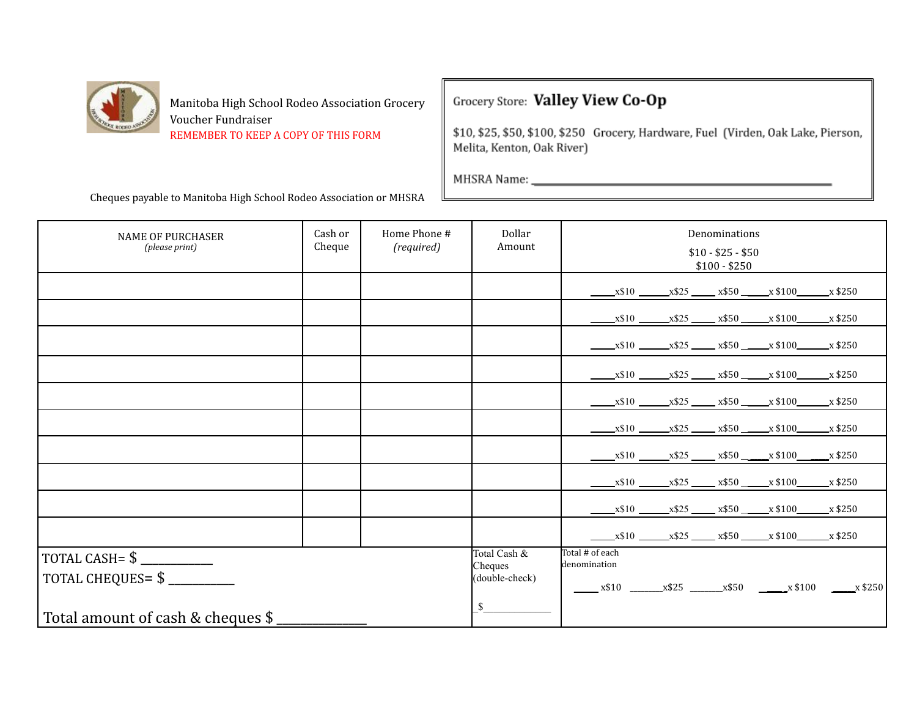

# Grocery Store: Valley View Co-Op

\$10, \$25, \$50, \$100, \$250 Grocery, Hardware, Fuel (Virden, Oak Lake, Pierson, Melita, Kenton, Oak River)

| <b>NAME OF PURCHASER</b><br>(please print)                                 | Cash or<br>Cheque | Home Phone #<br>(required) | Dollar<br>Amount                                | Denominations<br>$$10 - $25 - $50$<br>$$100 - $250$                     |
|----------------------------------------------------------------------------|-------------------|----------------------------|-------------------------------------------------|-------------------------------------------------------------------------|
|                                                                            |                   |                            |                                                 | $x$10$ $x$25$ $x$50$ $x$100$ $x$250$                                    |
|                                                                            |                   |                            |                                                 | $x$10$ $x$25$ $x$50$ $x$100$ $x$250$                                    |
|                                                                            |                   |                            |                                                 | $x$10$ $x$25$ $x$50$ $x$100$ $x$250$                                    |
|                                                                            |                   |                            |                                                 | $x$10$ $x$25$ $x$50$ $x$100$ $x$250$                                    |
|                                                                            |                   |                            |                                                 | $x$10$ $x$25$ $x$50$ $x$100$ $x$250$                                    |
|                                                                            |                   |                            |                                                 | $x$10$ $x$25$ $x$50$ $x$100$ $x$250$                                    |
|                                                                            |                   |                            |                                                 | $x$10$ $x$25$ $x$50$ $x$100$ $x$250$                                    |
|                                                                            |                   |                            |                                                 | $x$10$ $x$25$ $x$50$ $x$100$ $x$250$                                    |
|                                                                            |                   |                            |                                                 | $x$10$ $x$25$ $x$50$ $x$100$ $x$250$                                    |
|                                                                            |                   |                            |                                                 | $x$10$ $x$25$ $x$50$ $x$100$ $x$250$                                    |
| TOTAL CASH = $$$<br>TOTAL CHEQUES= \$<br>Total amount of cash & cheques \$ |                   |                            | Total Cash &<br>Cheques<br>(double-check)<br>\$ | Total # of each<br>denomination<br>$x$10$ $x$25$ $x$50$ $x$100$ $x$250$ |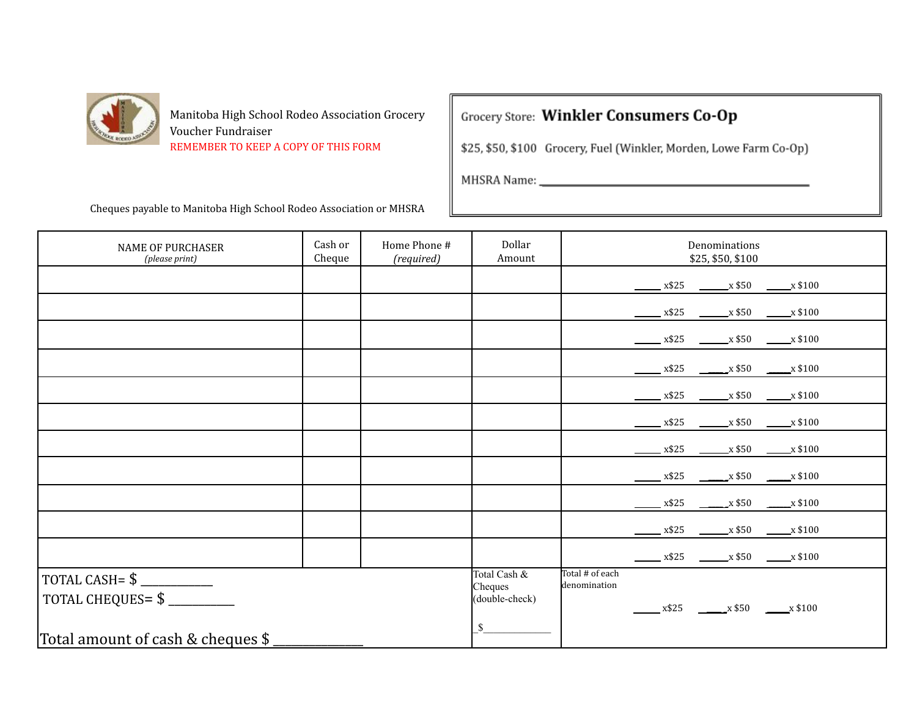

Grocery Store: Winkler Consumers Co-Op

\$25, \$50, \$100 Grocery, Fuel (Winkler, Morden, Lowe Farm Co-Op)

the control of the control of the control of

MHSRA Name:

| <b>NAME OF PURCHASER</b><br>(please print)   | Cash or<br>Cheque | Home Phone #<br>(required) | Dollar<br>Amount        | Denominations<br>\$25, \$50, \$100                                                                                       |
|----------------------------------------------|-------------------|----------------------------|-------------------------|--------------------------------------------------------------------------------------------------------------------------|
|                                              |                   |                            |                         | $\frac{\text{X$25}}{\text{X$25}}$ $\frac{\text{X$50}}{\text{X$50}}$ $\frac{\text{X$100}}{\text{X$}}$                     |
|                                              |                   |                            |                         | $\frac{\text{18}}{2} \times \$25$ $\frac{\text{18}}{2} \times \$50$ $\frac{\text{18}}{2} \times \$100$                   |
|                                              |                   |                            |                         | $\frac{\text{M}}{\text{M}} \times \$25$ $\frac{\text{M}}{\text{M}} \times \$50$ $\frac{\text{M}}{\text{M}} \times \$100$ |
|                                              |                   |                            |                         | $\frac{\text{18}}{2} \times \$25$ $\frac{\text{18}}{2} \times \$50$ $\frac{\text{18}}{2} \times \$100$                   |
|                                              |                   |                            |                         | $\frac{\text{18}}{2} \times \$25$ $\frac{\text{18}}{2} \times \$50$ $\frac{\text{18}}{2} \times \$100$                   |
|                                              |                   |                            |                         | $\frac{\text{18}}{2} \times \$25$ $\frac{\text{18}}{2} \times \$50$ $\frac{\text{18}}{2} \times \$100$                   |
|                                              |                   |                            |                         | $\frac{\text{X$25}}{\text{X$325}}$ $\frac{\text{X$50}}{\text{X$50}}$ $\frac{\text{X$100}}{\text{X$}}$                    |
|                                              |                   |                            |                         | $\frac{\text{X$325}}{\text{X$325}}$ $\frac{\text{X$50}}{\text{X$3100}}$                                                  |
|                                              |                   |                            |                         | $\frac{\text{18}}{2}$ x\$25 $\frac{\text{18}}{2}$ x\$50 $\frac{\text{18}}{2}$ x\$100                                     |
|                                              |                   |                            |                         |                                                                                                                          |
|                                              |                   |                            |                         | $\frac{\text{M}}{\text{M}}$ x\$25 $\frac{\text{M}}{\text{M}}$ x\$50 $\frac{\text{M}}{\text{M}}$ x \$100                  |
|                                              |                   |                            | Total Cash &<br>Cheques | Total # of each<br>denomination                                                                                          |
| TOTAL CHEQUES= \$                            |                   |                            | (double-check)          | $x$ \$25 $\frac{1}{2}$ x \$50 $\frac{1}{2}$ x \$100                                                                      |
| Total amount of cash & cheques $\frac{1}{2}$ |                   |                            | \$                      |                                                                                                                          |